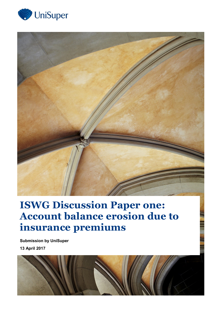



# **ISWG Discussion Paper one: Account balance erosion due to insurance premiums**

**Submission by UniSuper 13 April 2017**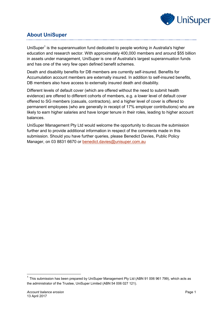

# **About UniSuper**

UniSuper<sup>1</sup> is the superannuation fund dedicated to people working in Australia's higher education and research sector. With approximately 400,000 members and around \$55 billion in assets under management, UniSuper is one of Australia's largest superannuation funds and has one of the very few open defined benefit schemes.

Death and disability benefits for DB members are currently self-insured. Benefits for Accumulation account members are externally insured. In addition to self-insured benefits, DB members also have access to externally insured death and disability.

Different levels of default cover (which are offered without the need to submit health evidence) are offered to different cohorts of members, e.g. a lower level of default cover offered to SG members (casuals, contractors), and a higher level of cover is offered to permanent employees (who are generally in receipt of 17% employer contributions) who are likely to earn higher salaries and have longer tenure in their roles, leading to higher account balances.

UniSuper Management Pty Ltd would welcome the opportunity to discuss the submission further and to provide additional information in respect of the comments made in this submission. Should you have further queries, please Benedict Davies, Public Policy Manager, on 03 8831 6670 or [benedict.davies@unisuper.com.au](mailto:benedict.davies@unisuper.com.au)

-

 $1$  This submission has been prepared by UniSuper Management Pty Ltd (ABN 91 006 961 799), which acts as the administrator of the Trustee, UniSuper Limited (ABN 54 006 027 121).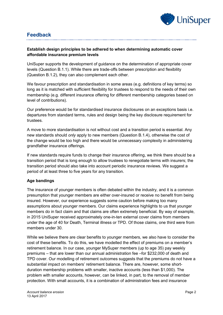

# **Feedback**

## **Establish design principles to be adhered to when determining automatic cover affordable insurance premium levels**

UniSuper supports the development of guidance on the determination of appropriate cover levels (Question B.1.1). While there are trade-offs between prescription and flexibility (Question B.1.2), they can also complement each other.

We favour prescription and standardisation in some areas (e.g. definitions of key terms) so long as it is matched with sufficient flexibility for trustees to respond to the needs of their own membership (e.g. different insurance offering for different membership categories based on level of contributions).

Our preference would be for standardised insurance disclosures on an exceptions basis i.e. departures from standard terms, rules and design being the key disclosure requirement for trustees.

A move to more standardisation is not without cost and a transition period is essential. Any new standards should *only* apply to new members (Question B.1.4), otherwise the cost of the change would be too high and there would be unnecessary complexity in administering grandfather insurance offerings.

If new standards require funds to change their insurance offering, we think there should be a transition period that is long enough to allow trustees to renegotiate terms with insurers; the transition period should also take into account periodic insurance reviews. We suggest a period of at least three to five years for any transition.

#### **Age bandings**

The insurance of younger members is often debated within the industry, and it is a common presumption that younger members are either over-insured or receive no benefit from being insured. However, our experience suggests some caution before making too many assumptions about younger members. Our claims experience highlights to us that younger members do in fact claim and that claims are often extremely beneficial. By way of example, in 2015 UniSuper received approximately one-in-ten external cover claims from members under the age of 40 for Death, Terminal illness or TPD. Of those claims, one third were from members under 30.

While we believe there are clear benefits to younger members, we also have to consider the cost of these benefits. To do this, we have modelled the effect of premiums on a member's retirement balance. In our case, younger MySuper members (up to age 35) pay weekly premiums – that are lower than our annual administration fee –for \$232,000 of death and TPD cover. Our modelling of retirement outcomes suggests that the premiums do not have a substantial impact on members' retirement balance. There are, however, some shortduration membership problems with smaller, inactive accounts (less than \$1,000). The problem with smaller accounts, however, can be linked, in part, to the removal of member protection. With small accounts, it is a combination of administration fees and insurance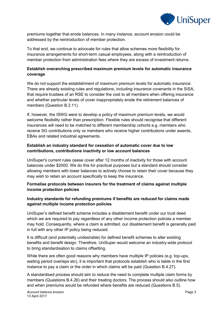

premiums together that erode balances. In many instance, account erosion could be addressed by the reintroduction of member protection.

To that end, we continue to advocate for rules that allow schemes more flexibility for insurance arrangements for short-term casual employees, along with a reintroduction of member protection from administration fees where they are excess of investment returns.

#### **Establish overarching prescribed maximum premium levels for automatic insurance coverage**

We do not support the establishment of maximum premium levels for automatic insurance. There are already existing rules and regulations, including insurance covenants in the SISA, that require trustees of an RSE to consider the cost to all members when offering insurance and whether particular levels of cover inappropriately erode the retirement balances of members (Question B.2.11).

If, however, the ISWG were to develop a policy of maximum premium levels, we would welcome flexibility rather than prescription. Flexible rules should recognise that different insurances will need to be matched to different membership cohorts e.g. members who receive SG contributions only vs members who receive higher contributions under awards, EBAs and related industrial agreements.

#### **Establish an industry standard for cessation of automatic cover due to low contributions, contributions inactivity or low account balances**

UniSuper's current rules cease cover after 12 months of inactivity for those with account balances under \$2000. We do this for practical purposes but a standard should consider allowing members with lower balances to actively choose to retain their cover because they may wish to retain an account specifically to keep the insurance.

#### **Formalise protocols between insurers for the treatment of claims against multiple income protection policies**

## **Industry standards for refunding premiums if benefits are reduced for claims made against multiple income protection policies**

UniSuper's defined benefit scheme includes a disablement benefit under our trust deed which we are required to pay regardless of any other income protection policies a member may hold. Consequently, where a claim is admitted, our disablement benefit is generally paid in full with any other IP policy being reduced.

It is difficult (and potentially undesirable) for defined benefit schemes to alter existing benefits and benefit design. Therefore, UniSuper would welcome an industry-wide protocol to bring standardisation to claims offsetting.

While there are often good reasons why members have multiple IP policies (e.g. top-ups, waiting period overlaps etc), it is important that protocols establish who is liable in the first instance to pay a claim or the order in which claims will be paid (Question B.4.27).

A standardised process should aim to reduce the need to complete multiple claim forms by members (Questions B.4.26) and their treating doctors. The process should also outline how and when premiums would be refunded where benefits are reduced (Questions B.5).